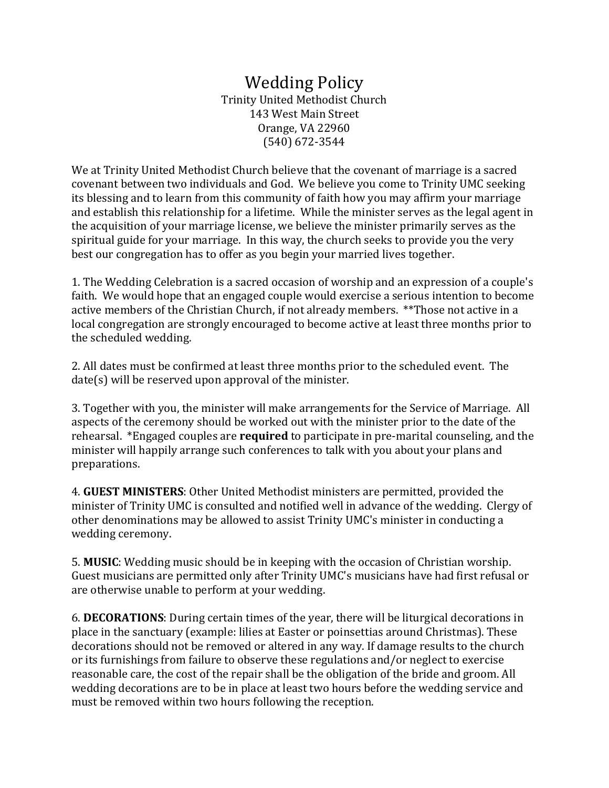## Wedding Policy Trinity United Methodist Church 143 West Main Street Orange, VA 22960 (540) 672‐3544

We at Trinity United Methodist Church believe that the covenant of marriage is a sacred covenant between two individuals and God. We believe you come to Trinity UMC seeking its blessing and to learn from this community of faith how you may affirm your marriage and establish this relationship for a lifetime. While the minister serves as the legal agent in the acquisition of your marriage license, we believe the minister primarily serves as the spiritual guide for your marriage. In this way, the church seeks to provide you the very best our congregation has to offer as you begin your married lives together.

1. The Wedding Celebration is a sacred occasion of worship and an expression of a couple's faith. We would hope that an engaged couple would exercise a serious intention to become active members of the Christian Church, if not already members. \*\*Those not active in a local congregation are strongly encouraged to become active at least three months prior to the scheduled wedding.

2. All dates must be confirmed at least three months prior to the scheduled event. The  $date(s)$  will be reserved upon approval of the minister.

3. Together with you, the minister will make arrangements for the Service of Marriage. All aspects of the ceremony should be worked out with the minister prior to the date of the rehearsal. *\*Engaged couples are required* to participate in pre-marital counseling, and the minister will happily arrange such conferences to talk with you about your plans and preparations. 

4. **GUEST MINISTERS**: Other United Methodist ministers are permitted, provided the minister of Trinity UMC is consulted and notified well in advance of the wedding. Clergy of other denominations may be allowed to assist Trinity UMC's minister in conducting a wedding ceremony.

**5. MUSIC:** Wedding music should be in keeping with the occasion of Christian worship. Guest musicians are permitted only after Trinity UMC's musicians have had first refusal or are otherwise unable to perform at your wedding.

6. **DECORATIONS**: During certain times of the year, there will be liturgical decorations in place in the sanctuary (example: lilies at Easter or poinsettias around Christmas). These decorations should not be removed or altered in any way. If damage results to the church or its furnishings from failure to observe these regulations and/or neglect to exercise reasonable care, the cost of the repair shall be the obligation of the bride and groom. All wedding decorations are to be in place at least two hours before the wedding service and must be removed within two hours following the reception.